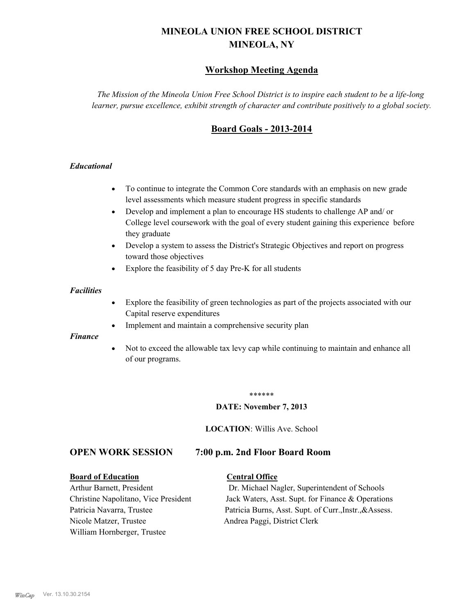# **MINEOLA UNION FREE SCHOOL DISTRICT MINEOLA, NY**

# **Workshop Meeting Agenda**

*The Mission of the Mineola Union Free School District is to inspire each student to be a life-long learner, pursue excellence, exhibit strength of character and contribute positively to a global society.*

# **Board Goals - 2013-2014**

#### *Educational*

- · To continue to integrate the Common Core standards with an emphasis on new grade level assessments which measure student progress in specific standards
- · Develop and implement a plan to encourage HS students to challenge AP and/ or College level coursework with the goal of every student gaining this experience before they graduate
- Develop a system to assess the District's Strategic Objectives and report on progress toward those objectives
- · Explore the feasibility of 5 day Pre-K for all students

#### *Facilities*

- · Explore the feasibility of green technologies as part of the projects associated with our Capital reserve expenditures
- Implement and maintain a comprehensive security plan

#### *Finance*

• Not to exceed the allowable tax levy cap while continuing to maintain and enhance all of our programs.

#### \*\*\*\*\*\*

#### **DATE: November 7, 2013**

**LOCATION**: Willis Ave. School

# **OPEN WORK SESSION 7:00 p.m. 2nd Floor Board Room**

#### **Board of Education Central Office**

Nicole Matzer, Trustee Andrea Paggi, District Clerk William Hornberger, Trustee

Arthur Barnett, President Dr. Michael Nagler, Superintendent of Schools Christine Napolitano, Vice President Jack Waters, Asst. Supt. for Finance & Operations Patricia Navarra, Trustee Patricia Burns, Asst. Supt. of Curr., Instr., &Assess.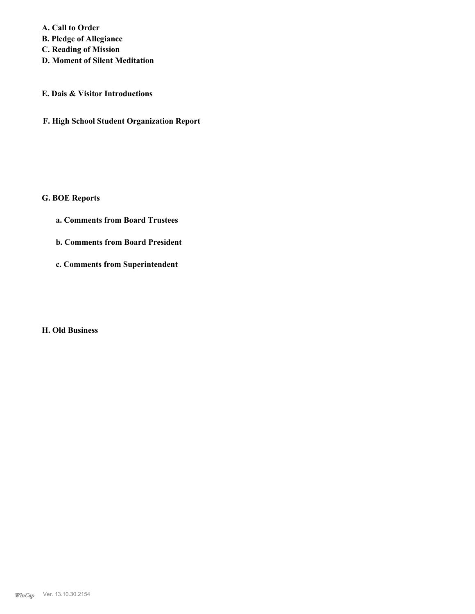**A. Call to Order B. Pledge of Allegiance C. Reading of Mission**

**D. Moment of Silent Meditation**

## **E. Dais & Visitor Introductions**

**F. High School Student Organization Report**

# **G. BOE Reports**

- **a. Comments from Board Trustees**
- **b. Comments from Board President**
- **c. Comments from Superintendent**

# **H. Old Business**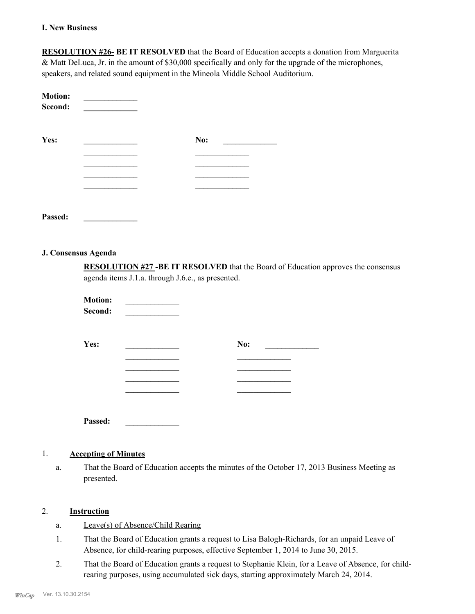#### **I. New Business**

**RESOLUTION #26- BE IT RESOLVED** that the Board of Education accepts a donation from Marguerita & Matt DeLuca, Jr. in the amount of \$30,000 specifically and only for the upgrade of the microphones, speakers, and related sound equipment in the Mineola Middle School Auditorium.

| <b>Motion:</b><br>Second: |     |  |
|---------------------------|-----|--|
| Yes:                      | No: |  |
|                           |     |  |
|                           |     |  |
|                           |     |  |
|                           |     |  |
|                           |     |  |

**Passed: \_\_\_\_\_\_\_\_\_\_\_\_\_**

#### **J. Consensus Agenda**

**RESOLUTION #27 -BE IT RESOLVED** that the Board of Education approves the consensus agenda items J.1.a. through J.6.e., as presented.

| <b>Motion:</b><br>Second: |     |
|---------------------------|-----|
| Yes:                      | No: |
|                           |     |
|                           |     |
|                           |     |
|                           |     |
| Passed:                   |     |

#### 1. **Accepting of Minutes**

That the Board of Education accepts the minutes of the October 17, 2013 Business Meeting as presented. a.

# 2. **Instruction**

- a. Leave(s) of Absence/Child Rearing
- That the Board of Education grants a request to Lisa Balogh-Richards, for an unpaid Leave of Absence, for child-rearing purposes, effective September 1, 2014 to June 30, 2015. 1.
- That the Board of Education grants a request to Stephanie Klein, for a Leave of Absence, for childrearing purposes, using accumulated sick days, starting approximately March 24, 2014. 2.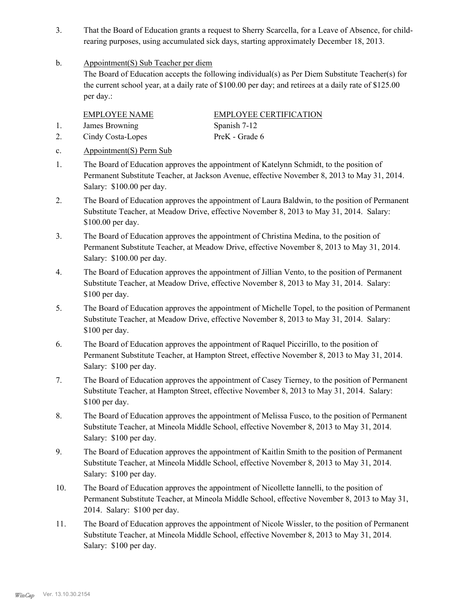- That the Board of Education grants a request to Sherry Scarcella, for a Leave of Absence, for childrearing purposes, using accumulated sick days, starting approximately December 18, 2013. 3.
- Appointment(S) Sub Teacher per diem b.

The Board of Education accepts the following individual(s) as Per Diem Substitute Teacher(s) for the current school year, at a daily rate of \$100.00 per day; and retirees at a daily rate of \$125.00 per day.:

1. James Browning Spanish 7-12

EMPLOYEE NAME EMPLOYEE CERTIFICATION 2. Cindy Costa-Lopes PreK - Grade 6

- c. Appointment(S) Perm Sub
- The Board of Education approves the appointment of Katelynn Schmidt, to the position of Permanent Substitute Teacher, at Jackson Avenue, effective November 8, 2013 to May 31, 2014. Salary: \$100.00 per day. 1.
- The Board of Education approves the appointment of Laura Baldwin, to the position of Permanent Substitute Teacher, at Meadow Drive, effective November 8, 2013 to May 31, 2014. Salary: \$100.00 per day. 2.
- The Board of Education approves the appointment of Christina Medina, to the position of Permanent Substitute Teacher, at Meadow Drive, effective November 8, 2013 to May 31, 2014. Salary: \$100.00 per day. 3.
- The Board of Education approves the appointment of Jillian Vento, to the position of Permanent Substitute Teacher, at Meadow Drive, effective November 8, 2013 to May 31, 2014. Salary: \$100 per day. 4.
- The Board of Education approves the appointment of Michelle Topel, to the position of Permanent Substitute Teacher, at Meadow Drive, effective November 8, 2013 to May 31, 2014. Salary: \$100 per day. 5.
- The Board of Education approves the appointment of Raquel Piccirillo, to the position of Permanent Substitute Teacher, at Hampton Street, effective November 8, 2013 to May 31, 2014. Salary: \$100 per day. 6.
- The Board of Education approves the appointment of Casey Tierney, to the position of Permanent Substitute Teacher, at Hampton Street, effective November 8, 2013 to May 31, 2014. Salary: \$100 per day. 7.
- The Board of Education approves the appointment of Melissa Fusco, to the position of Permanent Substitute Teacher, at Mineola Middle School, effective November 8, 2013 to May 31, 2014. Salary: \$100 per day. 8.
- The Board of Education approves the appointment of Kaitlin Smith to the position of Permanent Substitute Teacher, at Mineola Middle School, effective November 8, 2013 to May 31, 2014. Salary: \$100 per day. 9.
- The Board of Education approves the appointment of Nicollette Iannelli, to the position of Permanent Substitute Teacher, at Mineola Middle School, effective November 8, 2013 to May 31, 2014. Salary: \$100 per day. 10.
- The Board of Education approves the appointment of Nicole Wissler, to the position of Permanent Substitute Teacher, at Mineola Middle School, effective November 8, 2013 to May 31, 2014. Salary: \$100 per day. 11.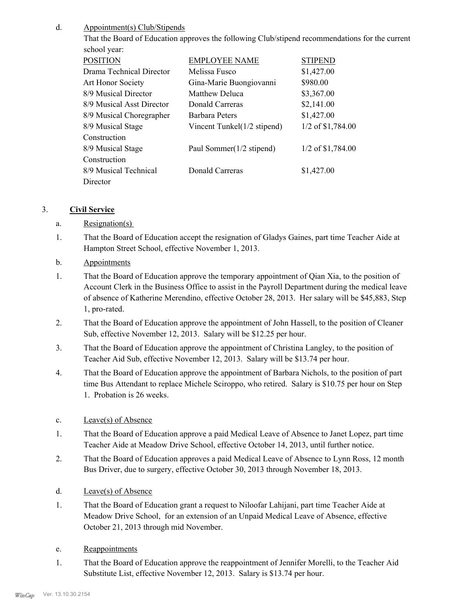#### Appointment(s) Club/Stipends d.

That the Board of Education approves the following Club/stipend recommendations for the current school year:

| <b>POSITION</b>           | <b>EMPLOYEE NAME</b>        | <b>STIPEND</b>      |
|---------------------------|-----------------------------|---------------------|
| Drama Technical Director  | Melissa Fusco               | \$1,427.00          |
| Art Honor Society         | Gina-Marie Buongiovanni     | \$980.00            |
| 8/9 Musical Director      | Matthew Deluca              | \$3,367.00          |
| 8/9 Musical Asst Director | Donald Carreras             | \$2,141.00          |
| 8/9 Musical Choregrapher  | Barbara Peters              | \$1,427.00          |
| 8/9 Musical Stage         | Vincent Tunkel(1/2 stipend) | 1/2 of \$1,784.00   |
| Construction              |                             |                     |
| 8/9 Musical Stage         | Paul Sommer(1/2 stipend)    | $1/2$ of \$1,784.00 |
| Construction              |                             |                     |
| 8/9 Musical Technical     | Donald Carreras             | \$1,427.00          |
| Director                  |                             |                     |

## 3. **Civil Service**

- a. Resignation(s)
- That the Board of Education accept the resignation of Gladys Gaines, part time Teacher Aide at Hampton Street School, effective November 1, 2013. 1.
- b. Appointments
- That the Board of Education approve the temporary appointment of Qian Xia, to the position of Account Clerk in the Business Office to assist in the Payroll Department during the medical leave of absence of Katherine Merendino, effective October 28, 2013. Her salary will be \$45,883, Step 1, pro-rated. 1.
- That the Board of Education approve the appointment of John Hassell, to the position of Cleaner Sub, effective November 12, 2013. Salary will be \$12.25 per hour. 2.
- That the Board of Education approve the appointment of Christina Langley, to the position of Teacher Aid Sub, effective November 12, 2013. Salary will be \$13.74 per hour. 3.
- That the Board of Education approve the appointment of Barbara Nichols, to the position of part time Bus Attendant to replace Michele Sciroppo, who retired. Salary is \$10.75 per hour on Step 1. Probation is 26 weeks. 4.
- c. Leave(s) of Absence
- That the Board of Education approve a paid Medical Leave of Absence to Janet Lopez, part time Teacher Aide at Meadow Drive School, effective October 14, 2013, until further notice. 1.
- That the Board of Education approves a paid Medical Leave of Absence to Lynn Ross, 12 month Bus Driver, due to surgery, effective October 30, 2013 through November 18, 2013. 2.
- d. Leave(s) of Absence
- That the Board of Education grant a request to Niloofar Lahijani, part time Teacher Aide at Meadow Drive School, for an extension of an Unpaid Medical Leave of Absence, effective October 21, 2013 through mid November. 1.
- e. Reappointments
- That the Board of Education approve the reappointment of Jennifer Morelli, to the Teacher Aid Substitute List, effective November 12, 2013. Salary is \$13.74 per hour. 1.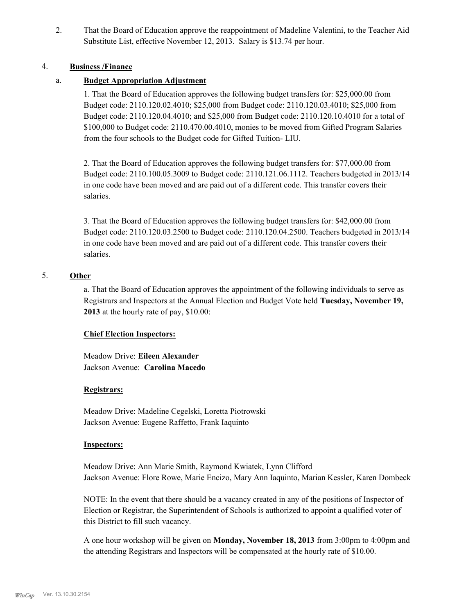That the Board of Education approve the reappointment of Madeline Valentini, to the Teacher Aid Substitute List, effective November 12, 2013. Salary is \$13.74 per hour. 2.

## 4. **Business /Finance**

# a. **Budget Appropriation Adjustment**

1. That the Board of Education approves the following budget transfers for: \$25,000.00 from Budget code: 2110.120.02.4010; \$25,000 from Budget code: 2110.120.03.4010; \$25,000 from Budget code: 2110.120.04.4010; and \$25,000 from Budget code: 2110.120.10.4010 for a total of \$100,000 to Budget code: 2110.470.00.4010, monies to be moved from Gifted Program Salaries from the four schools to the Budget code for Gifted Tuition- LIU.

2. That the Board of Education approves the following budget transfers for: \$77,000.00 from Budget code: 2110.100.05.3009 to Budget code: 2110.121.06.1112. Teachers budgeted in 2013/14 in one code have been moved and are paid out of a different code. This transfer covers their salaries.

3. That the Board of Education approves the following budget transfers for: \$42,000.00 from Budget code: 2110.120.03.2500 to Budget code: 2110.120.04.2500. Teachers budgeted in 2013/14 in one code have been moved and are paid out of a different code. This transfer covers their salaries.

# 5. **Other**

a. That the Board of Education approves the appointment of the following individuals to serve as Registrars and Inspectors at the Annual Election and Budget Vote held **Tuesday, November 19, 2013** at the hourly rate of pay, \$10.00:

#### **Chief Election Inspectors:**

Meadow Drive: **Eileen Alexander**  Jackson Avenue: **Carolina Macedo**

#### **Registrars:**

Meadow Drive: Madeline Cegelski, Loretta Piotrowski Jackson Avenue: Eugene Raffetto, Frank Iaquinto

#### **Inspectors:**

Meadow Drive: Ann Marie Smith, Raymond Kwiatek, Lynn Clifford Jackson Avenue: Flore Rowe, Marie Encizo, Mary Ann Iaquinto, Marian Kessler, Karen Dombeck

NOTE: In the event that there should be a vacancy created in any of the positions of Inspector of Election or Registrar, the Superintendent of Schools is authorized to appoint a qualified voter of this District to fill such vacancy.

A one hour workshop will be given on **Monday, November 18, 2013** from 3:00pm to 4:00pm and the attending Registrars and Inspectors will be compensated at the hourly rate of \$10.00.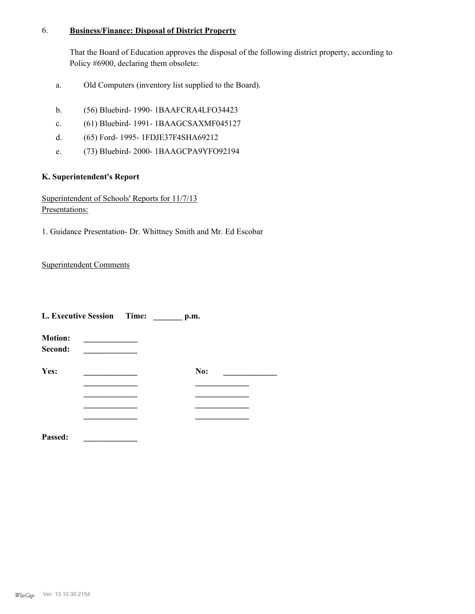#### **Business/Finance: Disposal of District Property** 6.

That the Board of Education approves the disposal of the following district property, according to Policy #6900, declaring them obsolete:

- a. Old Computers (inventory list supplied to the Board).
- b. (56) Bluebird- 1990- 1BAAFCRA4LFO34423
- c. (61) Bluebird- 1991- 1BAAGCSAXMF045127
- d. (65) Ford- 1995- 1FDJE37F4SHA69212
- e. (73) Bluebird- 2000- 1BAAGCPA9YFO92194

### **K. Superintendent's Report**

Superintendent of Schools' Reports for 11/7/13 Presentations:

1. Guidance Presentation- Dr. Whittney Smith and Mr. Ed Escobar

Superintendent Comments

| L. Executive Session Time: |  | p.m. |  |
|----------------------------|--|------|--|
| <b>Motion:</b><br>Second:  |  |      |  |
| Yes:                       |  | No:  |  |
|                            |  |      |  |
|                            |  |      |  |
|                            |  |      |  |
|                            |  |      |  |

**Passed: \_\_\_\_\_\_\_\_\_\_\_\_\_**